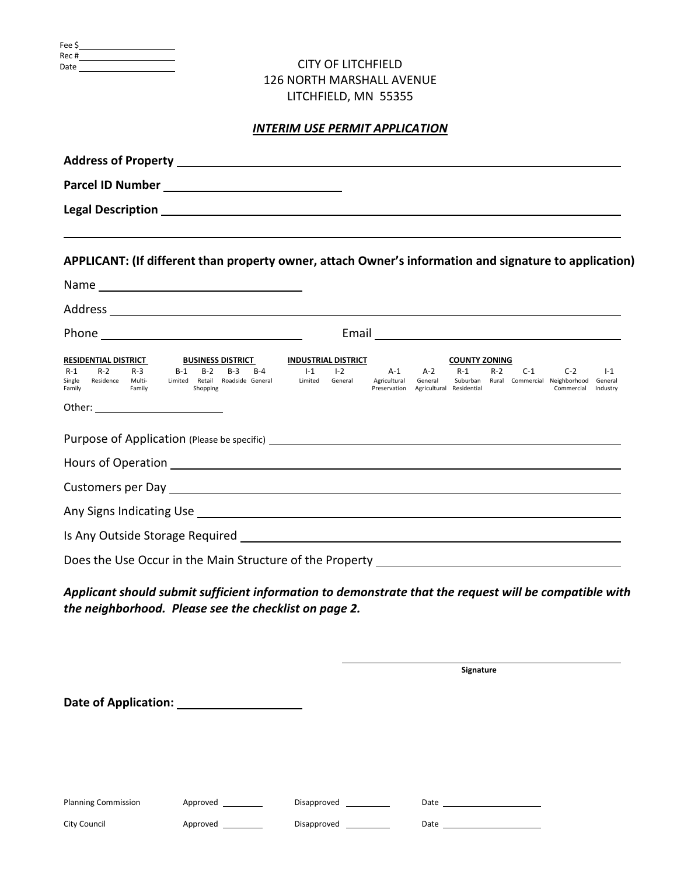| Fee \$ |  |
|--------|--|
| Rec #  |  |
| Date   |  |

## CITY OF LITCHFIELD 126 NORTH MARSHALL AVENUE LITCHFIELD, MN 55355

## *INTERIM USE PERMIT APPLICATION*

| APPLICANT: (If different than property owner, attach Owner's information and signature to application)                                                                                                               |                                                                                                               |                                                                               |                                                           |                                       |
|----------------------------------------------------------------------------------------------------------------------------------------------------------------------------------------------------------------------|---------------------------------------------------------------------------------------------------------------|-------------------------------------------------------------------------------|-----------------------------------------------------------|---------------------------------------|
|                                                                                                                                                                                                                      |                                                                                                               |                                                                               |                                                           |                                       |
|                                                                                                                                                                                                                      |                                                                                                               |                                                                               |                                                           |                                       |
|                                                                                                                                                                                                                      |                                                                                                               |                                                                               |                                                           |                                       |
| <b>RESIDENTIAL DISTRICT</b><br><b>BUSINESS DISTRICT</b><br>$R-2$<br>$R-3$<br>$B-1$<br>$B-2$<br>$B-3$<br>$B-4$<br>$R-1$<br>Single Residence Multi-<br>Limited Retail Roadside General<br>Family<br>Family<br>Shopping | <b>INDUSTRIAL DISTRICT</b><br>$I - 1$<br>$I - 2$<br>A-1<br>Limited<br>Agricultural<br>General<br>Preservation | <b>COUNTY ZONING</b><br>$A-2$<br>$R-1$<br>General<br>Agricultural Residential | R-2 C-1<br>Suburban Rural Commercial Neighborhood General | $C-2$<br>$1-1$<br>Commercial Industry |
|                                                                                                                                                                                                                      |                                                                                                               |                                                                               |                                                           |                                       |
| Hours of Operation <b>Exercise 2018 Manufacturer Manufacturer 2018</b>                                                                                                                                               |                                                                                                               |                                                                               |                                                           |                                       |
|                                                                                                                                                                                                                      |                                                                                                               |                                                                               |                                                           |                                       |
|                                                                                                                                                                                                                      |                                                                                                               |                                                                               |                                                           |                                       |
|                                                                                                                                                                                                                      |                                                                                                               |                                                                               |                                                           |                                       |
| Does the Use Occur in the Main Structure of the Property _______________________                                                                                                                                     |                                                                                                               |                                                                               |                                                           |                                       |
| Applicant should submit sufficient information to demonstrate that the request will be compatible with<br>the neighborhood. Please see the checklist on page 2.                                                      |                                                                                                               |                                                                               |                                                           |                                       |

 **Signature Date of Application:**  Planning Commission Approved \_\_\_\_\_\_\_\_\_\_ Disapproved \_\_\_\_\_\_\_\_\_\_ Date \_\_\_\_\_\_\_\_\_\_\_\_\_ City Council **Approved City Council** Disapproved **Disapproved Date Date Date**